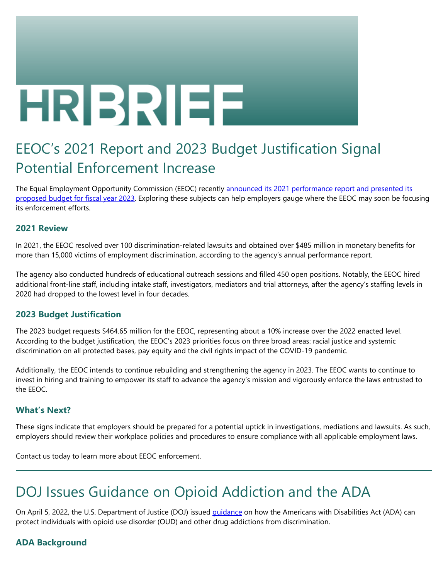# HRIBRIEE

# EEOC's 2021 Report and 2023 Budget Justification Signal Potential Enforcement Increase

The Equal Employment Opportunity Commission (EEOC) recently announced its 2021 performance report and presented its [proposed budget for fiscal year 2023](https://www.eeoc.gov/newsroom/eeoc-releases-fiscal-year-2021-performance-report-and-fiscal-year-2023-budget). Exploring these subjects can help employers gauge where the EEOC may soon be focusing its enforcement efforts.

# **2021 Review**

In 2021, the EEOC resolved over 100 discrimination-related lawsuits and obtained over \$485 million in monetary benefits for more than 15,000 victims of employment discrimination, according to the agency's annual performance report.

The agency also conducted hundreds of educational outreach sessions and filled 450 open positions. Notably, the EEOC hired additional front-line staff, including intake staff, investigators, mediators and trial attorneys, after the agency's staffing levels in 2020 had dropped to the lowest level in four decades.

# **2023 Budget Justification**

The 2023 budget requests \$464.65 million for the EEOC, representing about a 10% increase over the 2022 enacted level. According to the budget justification, the EEOC's 2023 priorities focus on three broad areas: racial justice and systemic discrimination on all protected bases, pay equity and the civil rights impact of the COVID-19 pandemic.

Additionally, the EEOC intends to continue rebuilding and strengthening the agency in 2023. The EEOC wants to continue to invest in hiring and training to empower its staff to advance the agency's mission and vigorously enforce the laws entrusted to the EEOC.

# **What's Next?**

These signs indicate that employers should be prepared for a potential uptick in investigations, mediations and lawsuits. As such, employers should review their workplace policies and procedures to ensure compliance with all applicable employment laws.

Contact us today to learn more about EEOC enforcement.

# DOJ Issues Guidance on Opioid Addiction and the ADA

On April 5, 2022, the U.S. Department of Justice (DOJ) issued *quidance* on how the Americans with Disabilities Act (ADA) can protect individuals with opioid use disorder (OUD) and other drug addictions from discrimination.

# **ADA Background**